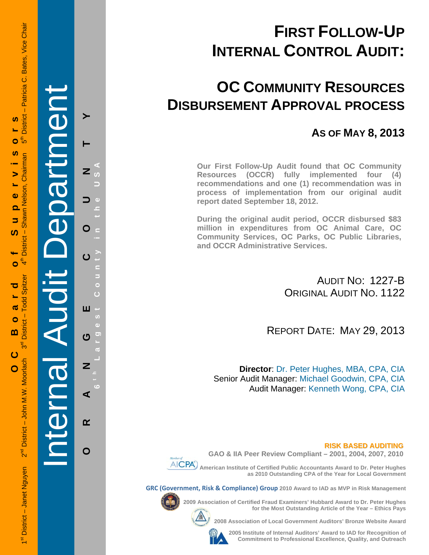# **FIRST FOLLOW-UP INTERNAL CONTROL AUDIT:**

## **OC COMMUNITY RESOURCES DISBURSEMENT APPROVAL PROCESS**

### **AS OF MAY 8, 2013**

**Our First Follow-Up Audit found that OC Community Resources (OCCR) fully implemented four (4) recommendations and one (1) recommendation was in process of implementation from our original audit report dated September 18, 2012.** 

**During the original audit period, OCCR disbursed \$83 million in expenditures from OC Animal Care, OC Community Services, OC Parks, OC Public Libraries, and OCCR Administrative Services.** 

> AUDIT NO: 1227-B ORIGINAL AUDIT NO. 1122

REPORT DATE: MAY 29, 2013

**Director**: Dr. Peter Hughes, MBA, CPA, CIA Senior Audit Manager: Michael Goodwin, CPA, CIA Audit Manager: Kenneth Wong, CPA, CIA

### **RISK BASED AUDITING**



**GAO & IIA Peer Review Compliant – 2001, 2004, 2007, 2010** 

 **American Institute of Certified Public Accountants Award to Dr. Peter Hughes as 2010 Outstanding CPA of the Year for Local Government** 

**GRC (Government, Risk & Compliance) Group 2010 Award to IAD as MVP in Risk Management** 



**2009 Association of Certified Fraud Examiners' Hubbard Award to Dr. Peter Hughes** 



**2008 Association of Local Government Auditors' Bronze Website Award** 



**2005 Institute of Internal Auditors' Award to IAD for Recognition of Commitment to Professional Excellence, Quality, and Outreach**

**for the Most Outstanding Article of the Year – Ethics Pays** 

Internal Audit Department  $\overline{z}$ O

**ORANGE COUNTY 6 t h Lar y in the USA** O **est Count** ш ෆ  $\overline{z}$ ⋖  $\alpha$ 

**g**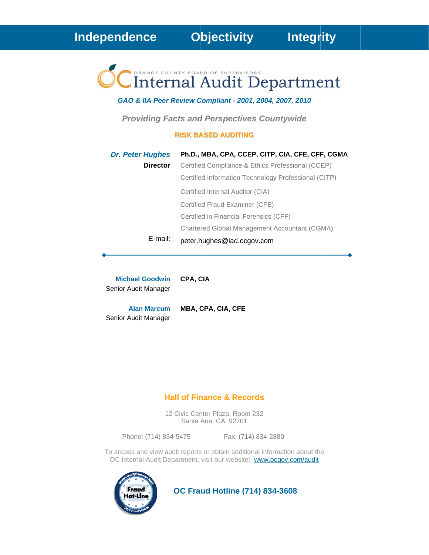# Internal Audit Department

### GAO & IIA Peer Review Compliant - 2001, 2004, 2007, 2010

**Providing Facts and Perspectives Countywide** 

### **RISK BASED AUDITING**

| <b>Dr. Peter Hughes</b> | Ph.D., MBA, CPA, CCEP, CITP, CIA, CFE, CFF, CGMA     |
|-------------------------|------------------------------------------------------|
| <b>Director</b>         | Certified Compliance & Ethics Professional (CCEP)    |
|                         | Certified Information Technology Professional (CITP) |
|                         | Certified Internal Auditor (CIA)                     |
|                         | Certified Fraud Examiner (CFE)                       |
|                         | Certified in Financial Forensics (CFF)               |
|                         | Chartered Global Management Accountant (CGMA)        |
| E-mail:                 | peter.hughes@iad.ocgov.com                           |

**Michael Goodwin** CPA, CIA Senior Audit Manager

MBA, CPA, CIA, CFE **Alan Marcum** Senior Audit Manager

### **Hall of Finance & Records**

12 Civic Center Plaza, Room 232 Santa Ana, CA 92701

Phone: (714) 834-5475

Fax: (714) 834-2880

To access and view audit reports or obtain additional information about the OC Internal Audit Department, visit our website: www.ocgov.com/audit



**OC Fraud Hotline (714) 834-3608**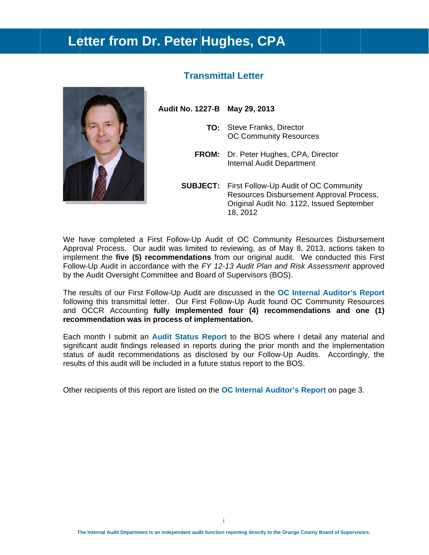### Letter from Dr. Peter Hughes, CPA



### **Transmittal Letter**

Audit No. 1227-B May 29, 2013

- **TO:** Steve Franks, Director **OC Community Resources**
- FROM: Dr. Peter Hughes, CPA, Director **Internal Audit Department**
- **SUBJECT:** First Follow-Up Audit of OC Community Resources Disbursement Approval Process, Original Audit No. 1122, Issued September 18, 2012

We have completed a First Follow-Up Audit of OC Community Resources Disbursement Approval Process. Our audit was limited to reviewing, as of May 8, 2013, actions taken to implement the five (5) recommendations from our original audit. We conducted this First Follow-Up Audit in accordance with the FY 12-13 Audit Plan and Risk Assessment approved by the Audit Oversight Committee and Board of Supervisors (BOS).

The results of our First Follow-Up Audit are discussed in the OC Internal Auditor's Report following this transmittal letter. Our First Follow-Up Audit found OC Community Resources and OCCR Accounting fully implemented four (4) recommendations and one (1) recommendation was in process of implementation.

Each month I submit an Audit Status Report to the BOS where I detail any material and significant audit findings released in reports during the prior month and the implementation status of audit recommendations as disclosed by our Follow-Up Audits. Accordingly, the results of this audit will be included in a future status report to the BOS.

Other recipients of this report are listed on the OC Internal Auditor's Report on page 3.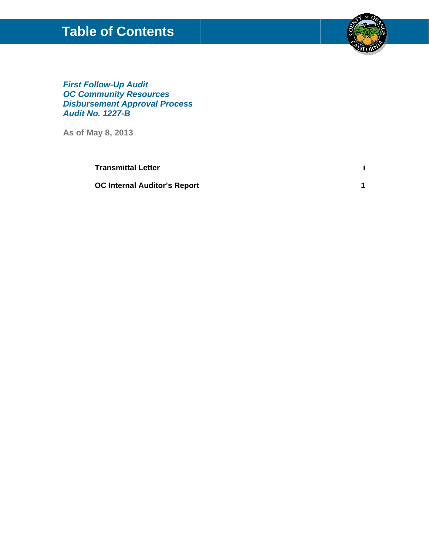### **Table of Contents**



 $\mathbf{i}$ 

 $\overline{1}$ 

**First Follow-Up Audit OC Community Resources Disbursement Approval Process Audit No. 1227-B** 

As of May 8, 2013

**Transmittal Letter** 

**OC Internal Auditor's Report**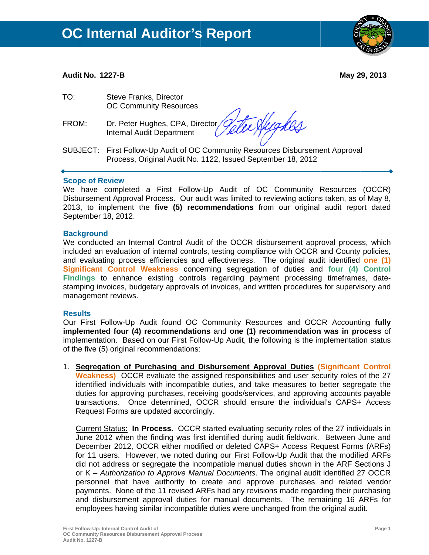

### **Audit No. 1227-B**

May 29, 2013

- TO: **Steve Franks, Director OC Community Resources**
- FROM: Dr. Peter Hughes, CPA, Director, **Internal Audit Department**

Technakes

SUBJECT: First Follow-Up Audit of OC Community Resources Disbursement Approval Process, Original Audit No. 1122, Issued September 18, 2012

### **Scope of Review**

We have completed a First Follow-Up Audit of OC Community Resources (OCCR) Disbursement Approval Process. Our audit was limited to reviewing actions taken, as of May 8, 2013, to implement the five (5) recommendations from our original audit report dated September 18, 2012.

### **Background**

We conducted an Internal Control Audit of the OCCR disbursement approval process, which included an evaluation of internal controls, testing compliance with OCCR and County policies, and evaluating process efficiencies and effectiveness. The original audit identified one (1) Significant Control Weakness concerning segregation of duties and four (4) Control Findings to enhance existing controls regarding payment processing timeframes, datestamping invoices, budgetary approvals of invoices, and written procedures for supervisory and management reviews.

### **Results**

Our First Follow-Up Audit found OC Community Resources and OCCR Accounting fully implemented four (4) recommendations and one (1) recommendation was in process of implementation. Based on our First Follow-Up Audit, the following is the implementation status of the five (5) original recommendations:

1. Segregation of Purchasing and Disbursement Approval Duties (Significant Control Weakness) OCCR evaluate the assigned responsibilities and user security roles of the 27 identified individuals with incompatible duties, and take measures to better segregate the duties for approving purchases, receiving goods/services, and approving accounts payable transactions. Once determined, OCCR should ensure the individual's CAPS+ Access Request Forms are updated accordingly.

Current Status: In Process. OCCR started evaluating security roles of the 27 individuals in June 2012 when the finding was first identified during audit fieldwork. Between June and December 2012, OCCR either modified or deleted CAPS+ Access Request Forms (ARFs) for 11 users. However, we noted during our First Follow-Up Audit that the modified ARFs did not address or segregate the incompatible manual duties shown in the ARF Sections J or K – Authorization to Approve Manual Documents. The original audit identified 27 OCCR personnel that have authority to create and approve purchases and related vendor payments. None of the 11 revised ARFs had any revisions made regarding their purchasing and disbursement approval duties for manual documents. The remaining 16 ARFs for employees having similar incompatible duties were unchanged from the original audit.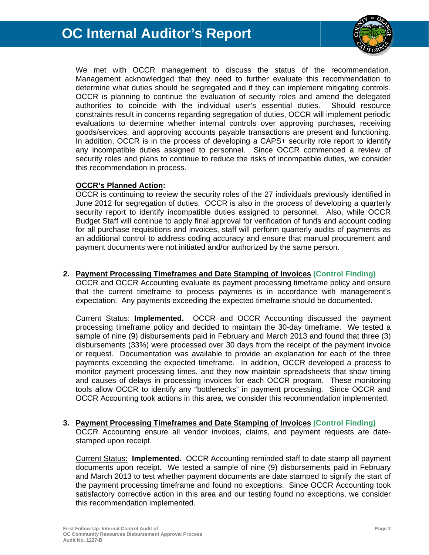

We met with OCCR management to discuss the status of the recommendation. Management acknowledged that they need to further evaluate this recommendation to determine what duties should be segregated and if they can implement mitigating controls. OCCR is planning to continue the evaluation of security roles and amend the delegated authorities to coincide with the individual user's essential duties. Should resource constraints result in concerns regarding segregation of duties, OCCR will implement periodic evaluations to determine whether internal controls over approving purchases, receiving goods/services, and approving accounts payable transactions are present and functioning. In addition, OCCR is in the process of developing a CAPS+ security role report to identify any incompatible duties assigned to personnel. Since OCCR commenced a review of security roles and plans to continue to reduce the risks of incompatible duties, we consider this recommendation in process.

### **OCCR's Planned Action:**

OCCR is continuing to review the security roles of the 27 individuals previously identified in June 2012 for segregation of duties. OCCR is also in the process of developing a quarterly security report to identify incompatible duties assigned to personnel. Also, while OCCR Budget Staff will continue to apply final approval for verification of funds and account coding for all purchase requisitions and invoices, staff will perform quarterly audits of payments as an additional control to address coding accuracy and ensure that manual procurement and payment documents were not initiated and/or authorized by the same person.

### 2. Payment Processing Timeframes and Date Stamping of Invoices (Control Finding)

OCCR and OCCR Accounting evaluate its payment processing timeframe policy and ensure that the current timeframe to process payments is in accordance with management's expectation. Any payments exceeding the expected timeframe should be documented.

Current Status: Implemented. OCCR and OCCR Accounting discussed the payment processing timeframe policy and decided to maintain the 30-day timeframe. We tested a sample of nine (9) disbursements paid in February and March 2013 and found that three (3) disbursements (33%) were processed over 30 days from the receipt of the payment invoice or request. Documentation was available to provide an explanation for each of the three payments exceeding the expected timeframe. In addition, OCCR developed a process to monitor payment processing times, and they now maintain spreadsheets that show timing and causes of delays in processing invoices for each OCCR program. These monitoring tools allow OCCR to identify any "bottlenecks" in payment processing. Since OCCR and OCCR Accounting took actions in this area, we consider this recommendation implemented.

#### 3. Payment Processing Timeframes and Date Stamping of Invoices (Control Finding) OCCR Accounting ensure all vendor invoices, claims, and payment requests are datestamped upon receipt.

Current Status: Implemented. OCCR Accounting reminded staff to date stamp all payment documents upon receipt. We tested a sample of nine (9) disbursements paid in February and March 2013 to test whether payment documents are date stamped to signify the start of the payment processing timeframe and found no exceptions. Since OCCR Accounting took satisfactory corrective action in this area and our testing found no exceptions, we consider this recommendation implemented.